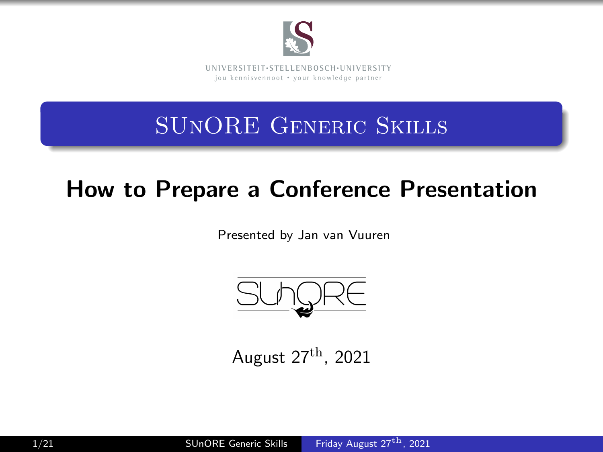

### SUnORE Generic Skills

### How to Prepare a Conference Presentation

Presented by Jan van Vuuren



<span id="page-0-0"></span>August  $27<sup>th</sup>$ , 2021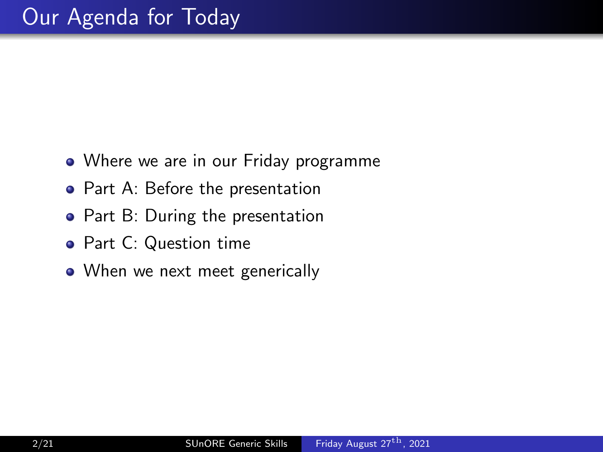- Where we are in our Friday programme
- Part A: Before the presentation
- Part B: During the presentation
- Part C: Question time
- When we next meet generically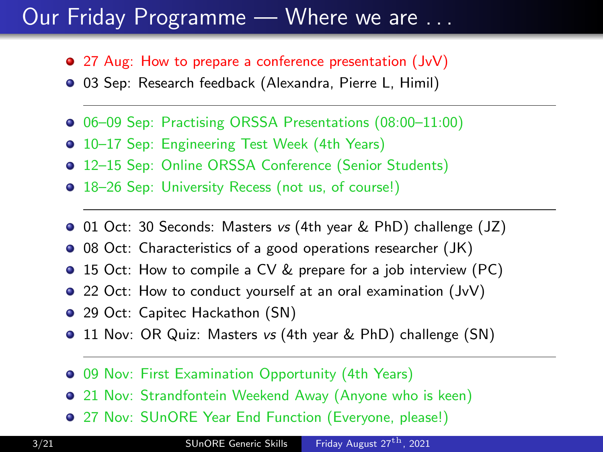#### Our Friday Programme — Where we are . . .

- 27 Aug: How to prepare a conference presentation (JvV)
- 03 Sep: Research feedback (Alexandra, Pierre L, Himil)
- 06–09 Sep: Practising ORSSA Presentations (08:00–11:00)
- **•** 10–17 Sep: Engineering Test Week (4th Years)
- 12–15 Sep: Online ORSSA Conference (Senior Students)
- 18–26 Sep: University Recess (not us, of course!)
- 01 Oct: 30 Seconds: Masters vs (4th year & PhD) challenge (JZ)
- 08 Oct: Characteristics of a good operations researcher (JK)
- 15 Oct: How to compile a CV & prepare for a job interview (PC)
- 22 Oct: How to conduct yourself at an oral examination (JvV)
- 29 Oct: Capitec Hackathon (SN)
- **•** 11 Nov: OR Quiz: Masters vs (4th year & PhD) challenge (SN)
- **09 Nov: First Examination Opportunity (4th Years)**
- 21 Nov: Strandfontein Weekend Away (Anyone who is keen)
- 27 Nov: SUnORE Year End Function (Everyone, please!)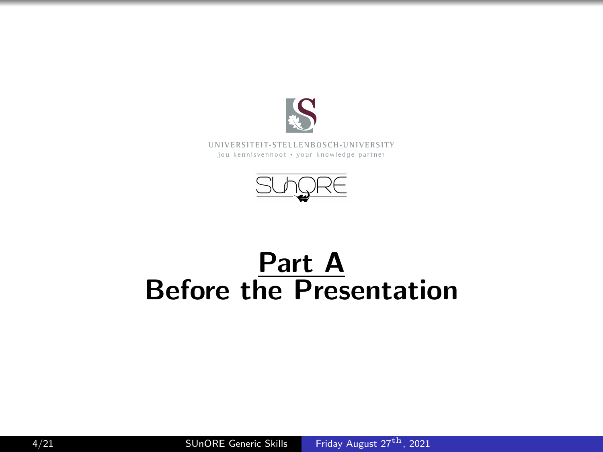



# Part A Before the Presentation

4/21 SUnORE Generic Skills [Friday August 27](#page-0-0)<sup>th</sup>, 2021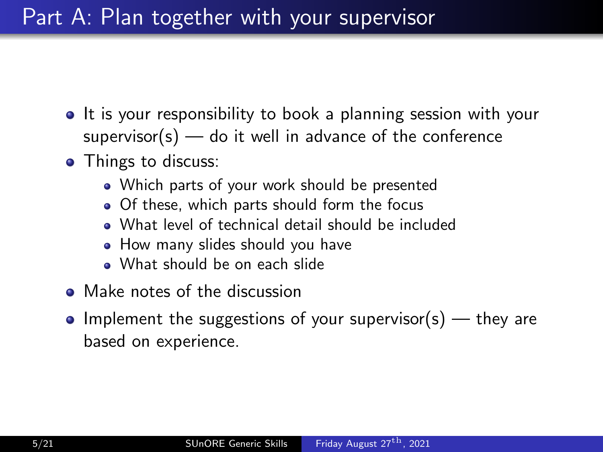#### Part A: Plan together with your supervisor

- It is your responsibility to book a planning session with your  $supervisor(s)$  — do it well in advance of the conference
- Things to discuss:
	- Which parts of your work should be presented
	- Of these, which parts should form the focus
	- What level of technical detail should be included
	- How many slides should you have
	- What should be on each slide
- Make notes of the discussion
- Implement the suggestions of your supervisor(s) they are based on experience.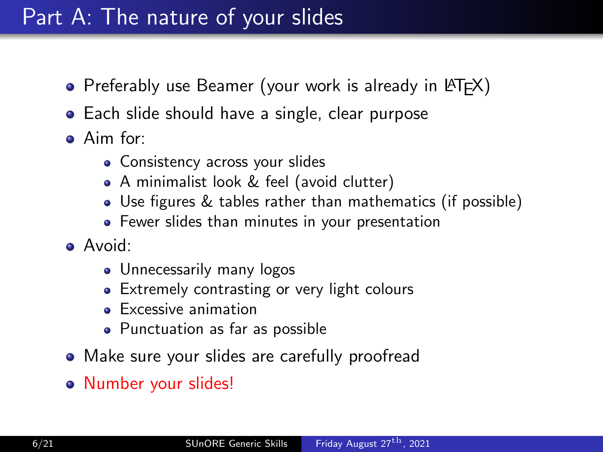#### Part A: The nature of your slides

- Preferably use Beamer (your work is already in LAT<sub>F</sub>X)
- Each slide should have a single, clear purpose
- Aim for:
	- Consistency across your slides
	- A minimalist look & feel (avoid clutter)
	- Use figures & tables rather than mathematics (if possible)
	- Fewer slides than minutes in your presentation
- Avoid:
	- Unnecessarily many logos
	- Extremely contrasting or very light colours
	- **Excessive animation**
	- Punctuation as far as possible
- Make sure your slides are carefully proofread
- Number your slides!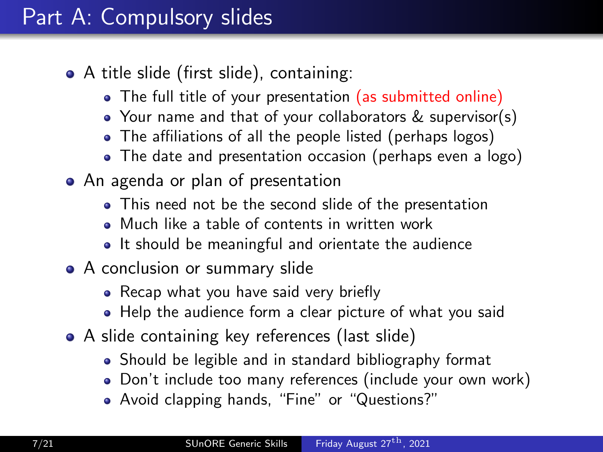#### Part A: Compulsory slides

- A title slide (first slide), containing:
	- The full title of your presentation (as submitted online)
	- Your name and that of your collaborators & supervisor(s)
	- The affiliations of all the people listed (perhaps logos)
	- The date and presentation occasion (perhaps even a logo)
- An agenda or plan of presentation
	- This need not be the second slide of the presentation
	- Much like a table of contents in written work
	- It should be meaningful and orientate the audience
- A conclusion or summary slide
	- Recap what you have said very briefly
	- Help the audience form a clear picture of what you said
- A slide containing key references (last slide)
	- Should be legible and in standard bibliography format
	- Don't include too many references (include your own work)
	- Avoid clapping hands, "Fine" or "Questions?"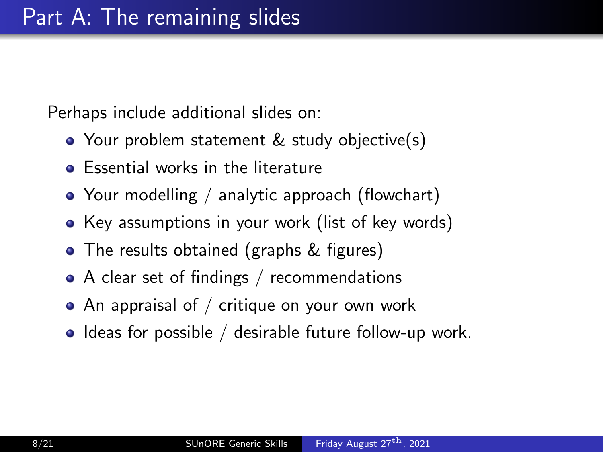Perhaps include additional slides on:

- Your problem statement & study objective(s)
- **•** Essential works in the literature
- Your modelling / analytic approach (flowchart)
- Key assumptions in your work (list of key words)
- The results obtained (graphs & figures)
- A clear set of findings / recommendations
- $\bullet$  An appraisal of / critique on your own work
- $\bullet$  Ideas for possible / desirable future follow-up work.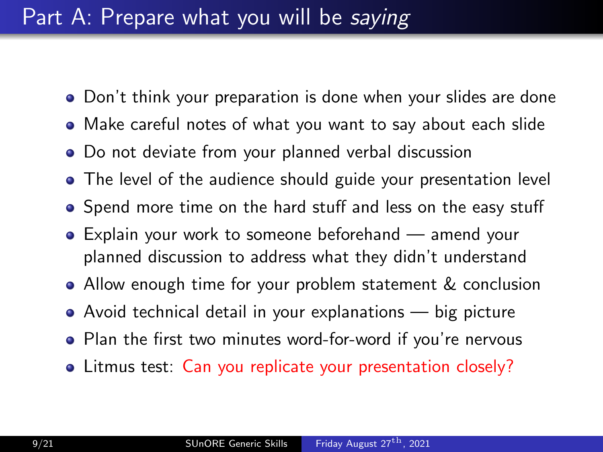#### Part A: Prepare what you will be saying

- Don't think your preparation is done when your slides are done
- Make careful notes of what you want to say about each slide
- Do not deviate from your planned verbal discussion
- The level of the audience should guide your presentation level
- Spend more time on the hard stuff and less on the easy stuff
- Explain your work to someone beforehand amend your planned discussion to address what they didn't understand
- Allow enough time for your problem statement & conclusion
- Avoid technical detail in your explanations big picture
- Plan the first two minutes word-for-word if you're nervous
- Litmus test: Can you replicate your presentation closely?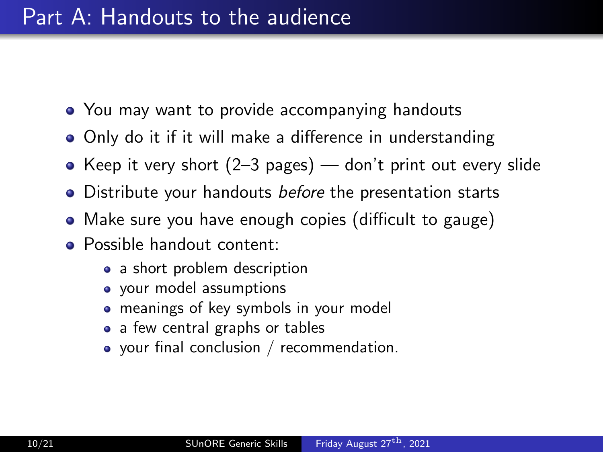#### Part A: Handouts to the audience

- You may want to provide accompanying handouts
- Only do it if it will make a difference in understanding
- Keep it very short  $(2-3$  pages) don't print out every slide
- Distribute your handouts before the presentation starts
- Make sure you have enough copies (difficult to gauge)
- **•** Possible handout content:
	- a short problem description
	- your model assumptions
	- meanings of key symbols in your model
	- a few central graphs or tables
	- your final conclusion / recommendation.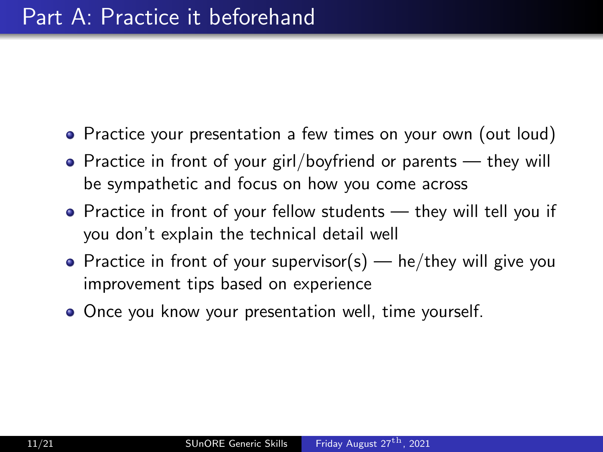- Practice your presentation a few times on your own (out loud)
- Practice in front of your girl/boyfriend or parents they will be sympathetic and focus on how you come across
- Practice in front of your fellow students they will tell you if you don't explain the technical detail well
- Practice in front of your supervisor(s)  $-$  he/they will give you improvement tips based on experience
- Once you know your presentation well, time yourself.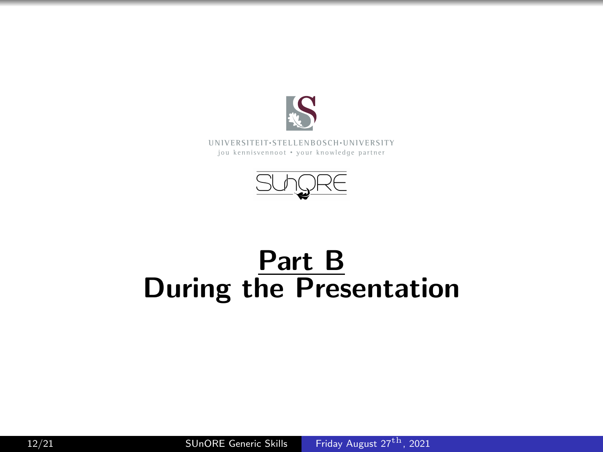



# Part B During the Presentation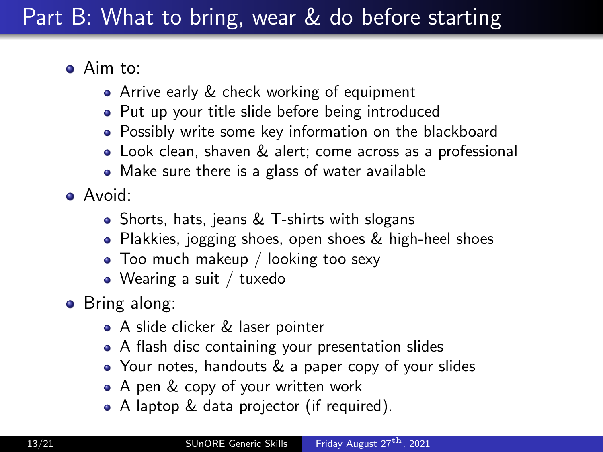### Part B: What to bring, wear & do before starting

- Aim to:
	- Arrive early & check working of equipment
	- Put up your title slide before being introduced
	- Possibly write some key information on the blackboard
	- Look clean, shaven & alert; come across as a professional
	- Make sure there is a glass of water available
- Avoid:
	- Shorts, hats, jeans & T-shirts with slogans
	- Plakkies, jogging shoes, open shoes & high-heel shoes
	- Too much makeup / looking too sexy
	- Wearing a suit / tuxedo
- **•** Bring along:
	- A slide clicker & laser pointer
	- A flash disc containing your presentation slides
	- Your notes, handouts & a paper copy of your slides
	- A pen & copy of your written work
	- A laptop & data projector (if required).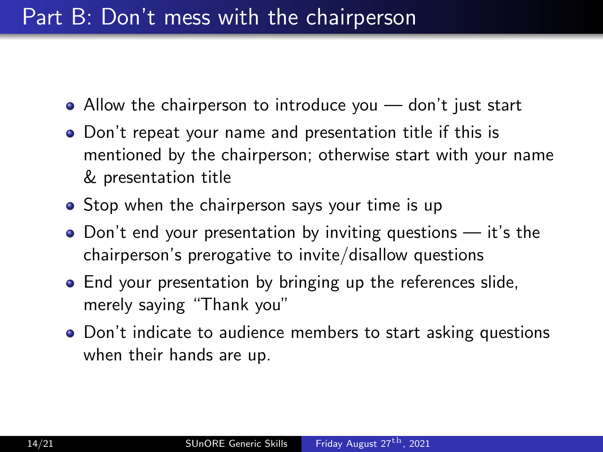#### Part B: Don't mess with the chairperson

- Allow the chairperson to introduce you don't just start
- Don't repeat your name and presentation title if this is mentioned by the chairperson; otherwise start with your name & presentation title
- Stop when the chairperson says your time is up
- $\bullet$  Don't end your presentation by inviting questions  $-$  it's the chairperson's prerogative to invite/disallow questions
- End your presentation by bringing up the references slide, merely saying "Thank you"
- Don't indicate to audience members to start asking questions when their hands are up.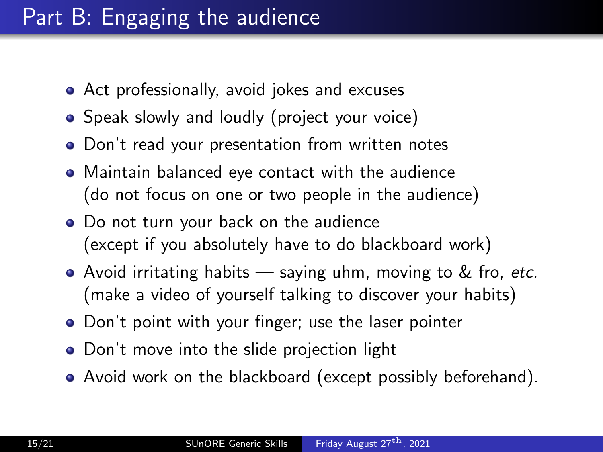### Part B: Engaging the audience

- Act professionally, avoid jokes and excuses
- Speak slowly and loudly (project your voice)
- Don't read your presentation from written notes
- Maintain balanced eye contact with the audience (do not focus on one or two people in the audience)
- Do not turn your back on the audience (except if you absolutely have to do blackboard work)
- Avoid irritating habits  $-$  saying uhm, moving to  $\&$  fro, etc. (make a video of yourself talking to discover your habits)
- Don't point with your finger; use the laser pointer
- Don't move into the slide projection light
- Avoid work on the blackboard (except possibly beforehand).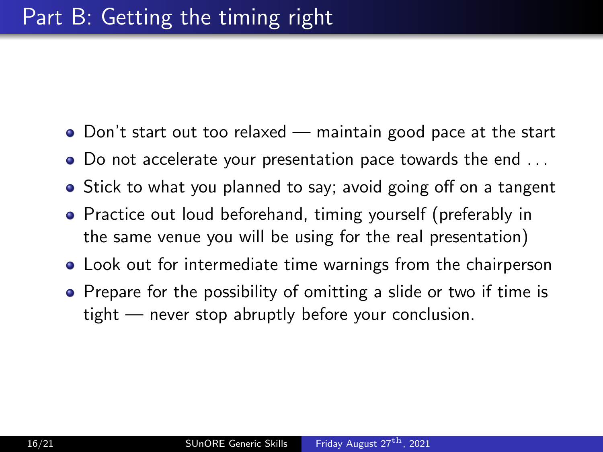- Don't start out too relaxed maintain good pace at the start
- Do not accelerate your presentation pace towards the end . . .
- Stick to what you planned to say; avoid going off on a tangent
- **•** Practice out loud beforehand, timing yourself (preferably in the same venue you will be using for the real presentation)
- Look out for intermediate time warnings from the chairperson
- Prepare for the possibility of omitting a slide or two if time is tight — never stop abruptly before your conclusion.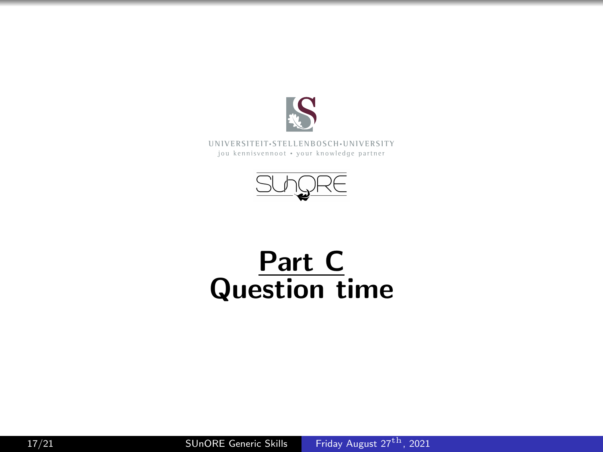



# Part C Question time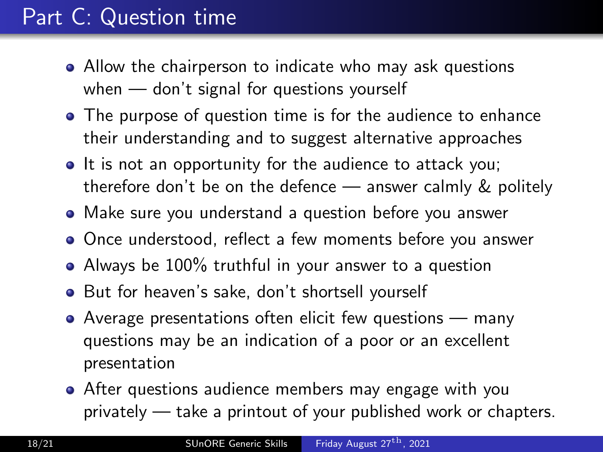### Part C: Question time

- Allow the chairperson to indicate who may ask questions when — don't signal for questions yourself
- The purpose of question time is for the audience to enhance their understanding and to suggest alternative approaches
- It is not an opportunity for the audience to attack you; therefore don't be on the defence — answer calmly & politely
- Make sure you understand a question before you answer
- Once understood, reflect a few moments before you answer
- Always be 100% truthful in your answer to a question
- But for heaven's sake, don't shortsell yourself
- Average presentations often elicit few questions many questions may be an indication of a poor or an excellent presentation
- After questions audience members may engage with you privately — take a printout of your published work or chapters.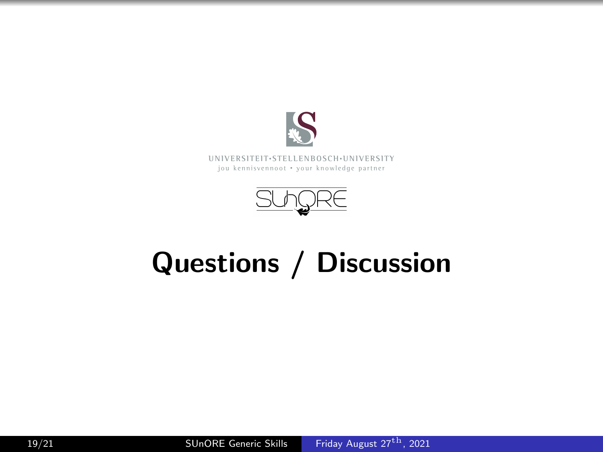



# Questions / Discussion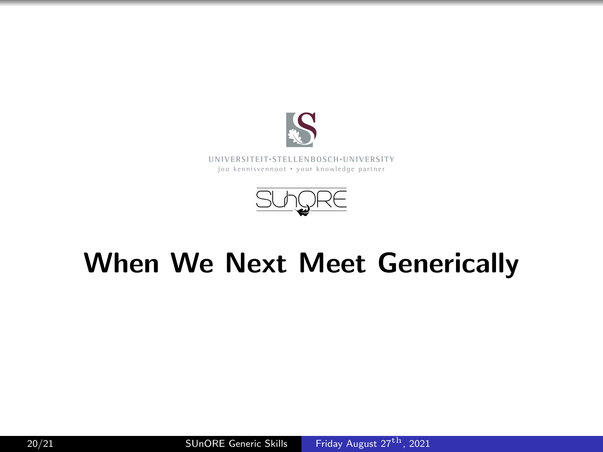



# When We Next Meet Generically